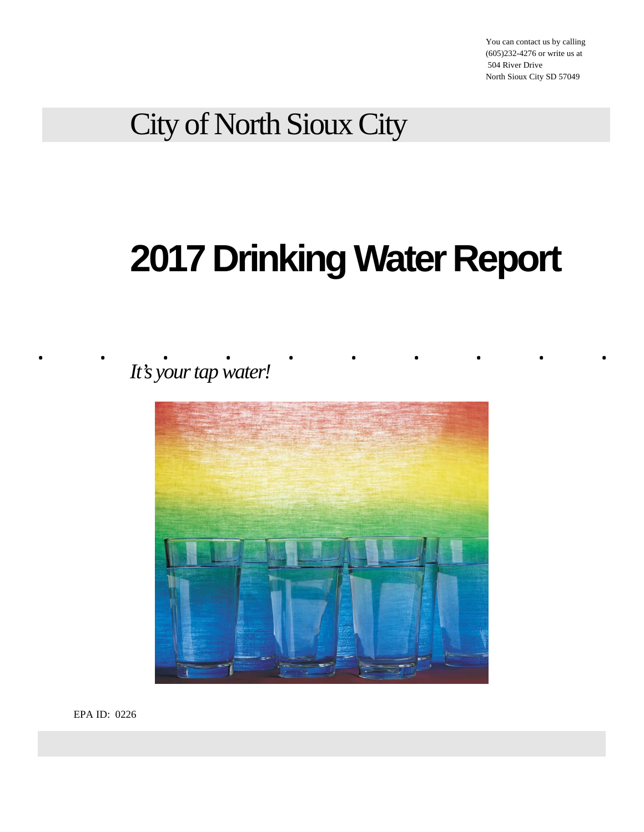You can contact us by calling (605)232-4276 or write us at 504 River Drive North Sioux City SD 57049

City of North Sioux City

# **2017 Drinking Water Report**

. . <u>.</u> . . . . . . . . . . . *It's your tap water!* 



EPA ID: 0226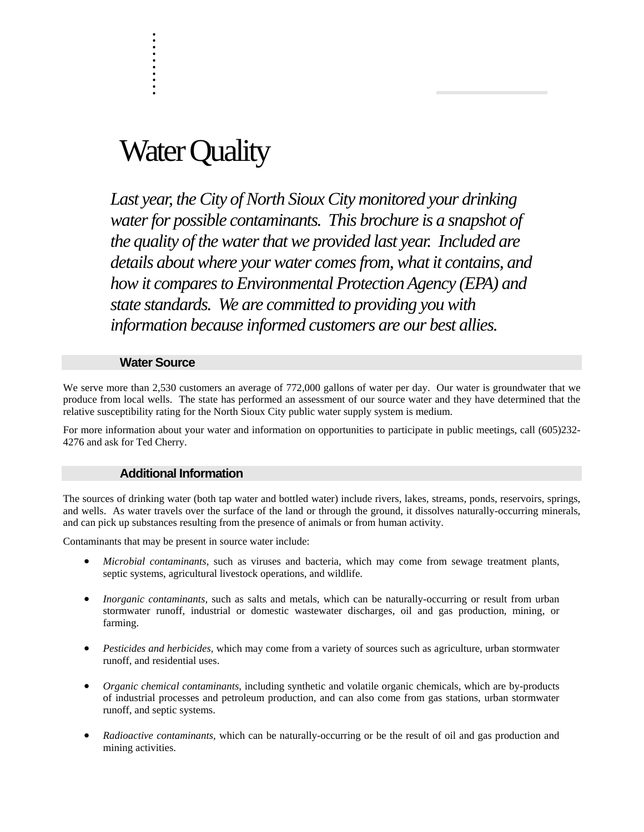## Water Quality

. . :<br>:<br>: :<br>:<br>: :<br>:<br>: :<br>:<br>: . :<br>:<br>: :<br>:<br>: .

*Last year, the City of North Sioux City monitored your drinking water for possible contaminants. This brochure is a snapshot of the quality of the water that we provided last year. Included are details about where your water comes from, what it contains, and how it compares to Environmental Protection Agency (EPA) and state standards. We are committed to providing you with information because informed customers are our best allies.* 

#### **Water Source**

We serve more than 2,530 customers an average of 772,000 gallons of water per day. Our water is groundwater that we produce from local wells. The state has performed an assessment of our source water and they have determined that the relative susceptibility rating for the North Sioux City public water supply system is medium.

For more information about your water and information on opportunities to participate in public meetings, call (605)232- 4276 and ask for Ted Cherry.

#### **Additional Information**

The sources of drinking water (both tap water and bottled water) include rivers, lakes, streams, ponds, reservoirs, springs, and wells. As water travels over the surface of the land or through the ground, it dissolves naturally-occurring minerals, and can pick up substances resulting from the presence of animals or from human activity.

Contaminants that may be present in source water include:

- *Microbial contaminants*, such as viruses and bacteria, which may come from sewage treatment plants, septic systems, agricultural livestock operations, and wildlife.
- *Inorganic contaminants*, such as salts and metals, which can be naturally-occurring or result from urban stormwater runoff, industrial or domestic wastewater discharges, oil and gas production, mining, or farming.
- *Pesticides and herbicides,* which may come from a variety of sources such as agriculture, urban stormwater runoff, and residential uses.
- *Organic chemical contaminants*, including synthetic and volatile organic chemicals, which are by-products of industrial processes and petroleum production, and can also come from gas stations, urban stormwater runoff, and septic systems.
- *Radioactive contaminants*, which can be naturally-occurring or be the result of oil and gas production and mining activities.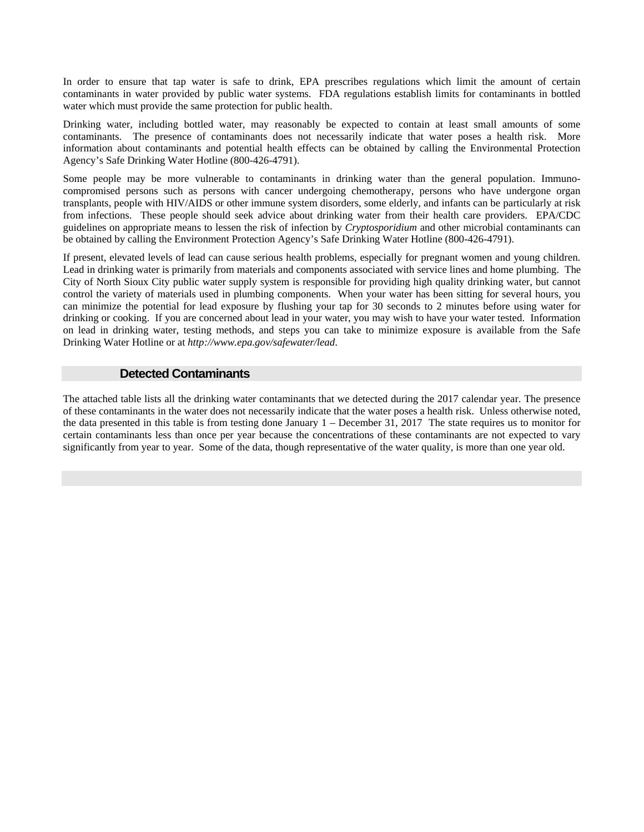In order to ensure that tap water is safe to drink, EPA prescribes regulations which limit the amount of certain contaminants in water provided by public water systems. FDA regulations establish limits for contaminants in bottled water which must provide the same protection for public health.

Drinking water, including bottled water, may reasonably be expected to contain at least small amounts of some contaminants. The presence of contaminants does not necessarily indicate that water poses a health risk. More information about contaminants and potential health effects can be obtained by calling the Environmental Protection Agency's Safe Drinking Water Hotline (800-426-4791).

Some people may be more vulnerable to contaminants in drinking water than the general population. Immunocompromised persons such as persons with cancer undergoing chemotherapy, persons who have undergone organ transplants, people with HIV/AIDS or other immune system disorders, some elderly, and infants can be particularly at risk from infections. These people should seek advice about drinking water from their health care providers. EPA/CDC guidelines on appropriate means to lessen the risk of infection by *Cryptosporidium* and other microbial contaminants can be obtained by calling the Environment Protection Agency's Safe Drinking Water Hotline (800-426-4791).

If present, elevated levels of lead can cause serious health problems, especially for pregnant women and young children. Lead in drinking water is primarily from materials and components associated with service lines and home plumbing. The City of North Sioux City public water supply system is responsible for providing high quality drinking water, but cannot control the variety of materials used in plumbing components. When your water has been sitting for several hours, you can minimize the potential for lead exposure by flushing your tap for 30 seconds to 2 minutes before using water for drinking or cooking. If you are concerned about lead in your water, you may wish to have your water tested. Information on lead in drinking water, testing methods, and steps you can take to minimize exposure is available from the Safe Drinking Water Hotline or at *http://www.epa.gov/safewater/lead*.

#### **Detected Contaminants**

The attached table lists all the drinking water contaminants that we detected during the 2017 calendar year. The presence of these contaminants in the water does not necessarily indicate that the water poses a health risk. Unless otherwise noted, the data presented in this table is from testing done January 1 – December 31, 2017 The state requires us to monitor for certain contaminants less than once per year because the concentrations of these contaminants are not expected to vary significantly from year to year. Some of the data, though representative of the water quality, is more than one year old.